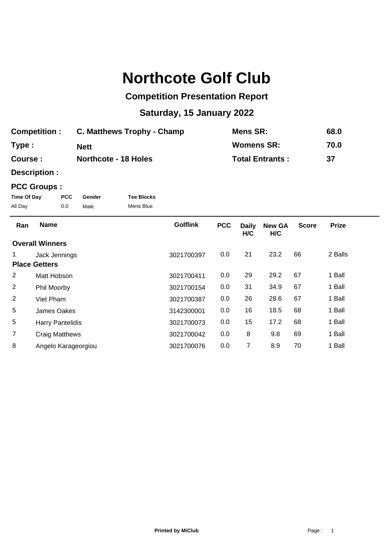## **Northcote Golf Club**

## **Competition Presentation Report**

## **Saturday, 15 January 2022**

| <b>Competition:</b> | C. Matthews Trophy - Champ  | Mens SR:               | 68.0 |
|---------------------|-----------------------------|------------------------|------|
| Type:               | <b>Nett</b>                 | <b>Womens SR:</b>      | 70.0 |
| Course :            | <b>Northcote - 18 Holes</b> | <b>Total Entrants:</b> | 37   |

**Description :**

## **PCC Groups :**

| Time Of Day | <b>PCC</b> | Gender | <b>Tee Blocks</b> |
|-------------|------------|--------|-------------------|
| All Day     | 0.0        | Male   | Mens Blue         |

| Ran                  | <b>Name</b>             | <b>Golflink</b> | <b>PCC</b> | <b>Daily</b><br>H/C | <b>New GA</b><br>H/C | <b>Score</b> | <b>Prize</b> |
|----------------------|-------------------------|-----------------|------------|---------------------|----------------------|--------------|--------------|
|                      | <b>Overall Winners</b>  |                 |            |                     |                      |              |              |
|                      | Jack Jennings           | 3021700397      | 0.0        | 21                  | 23.2                 | 66           | 2 Balls      |
| <b>Place Getters</b> |                         |                 |            |                     |                      |              |              |
| 2                    | Matt Hobson             | 3021700411      | 0.0        | 29                  | 29.2                 | 67           | 1 Ball       |
| 2                    | Phil Moorby             | 3021700154      | 0.0        | 31                  | 34.9                 | 67           | 1 Ball       |
| 2                    | Viet Pham               | 3021700387      | 0.0        | 26                  | 28.6                 | 67           | 1 Ball       |
| 5                    | James Oakes             | 3142300001      | 0.0        | 16                  | 18.5                 | 68           | 1 Ball       |
| 5                    | <b>Harry Pantelidis</b> | 3021700073      | 0.0        | 15                  | 17.2                 | 68           | 1 Ball       |
| $\overline{7}$       | <b>Craig Matthews</b>   | 3021700042      | 0.0        | 8                   | 9.8                  | 69           | 1 Ball       |
| 8                    | Angelo Karageorgiou     | 3021700076      | 0.0        | 7                   | 8.9                  | 70           | 1 Ball       |